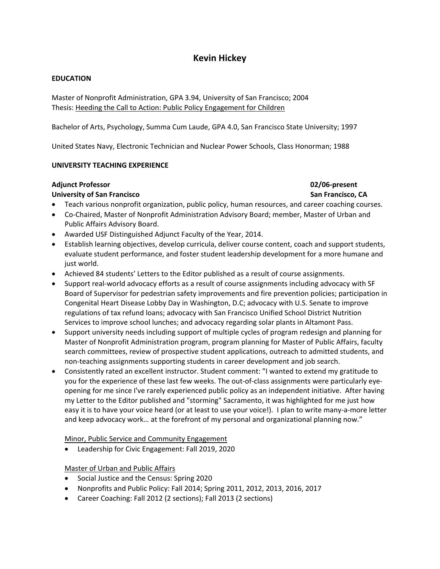## **Kevin Hickey**

### **EDUCATION**

Master of Nonprofit Administration, GPA 3.94, University of San Francisco; 2004 Thesis: Heeding the Call to Action: Public Policy Engagement for Children

Bachelor of Arts, Psychology, Summa Cum Laude, GPA 4.0, San Francisco State University; 1997

United States Navy, Electronic Technician and Nuclear Power Schools, Class Honorman; 1988

### **UNIVERSITY TEACHING EXPERIENCE**

### **Adjunct Professor 02/06-present**

### **University of San Francisco San Francisco, CA**

- Teach various nonprofit organization, public policy, human resources, and career coaching courses.
- Co-Chaired, Master of Nonprofit Administration Advisory Board; member, Master of Urban and Public Affairs Advisory Board.
- Awarded USF Distinguished Adjunct Faculty of the Year, 2014.
- Establish learning objectives, develop curricula, deliver course content, coach and support students, evaluate student performance, and foster student leadership development for a more humane and just world.
- Achieved 84 students' Letters to the Editor published as a result of course assignments.
- Support real-world advocacy efforts as a result of course assignments including advocacy with SF Board of Supervisor for pedestrian safety improvements and fire prevention policies; participation in Congenital Heart Disease Lobby Day in Washington, D.C; advocacy with U.S. Senate to improve regulations of tax refund loans; advocacy with San Francisco Unified School District Nutrition Services to improve school lunches; and advocacy regarding solar plants in Altamont Pass.
- Support university needs including support of multiple cycles of program redesign and planning for Master of Nonprofit Administration program, program planning for Master of Public Affairs, faculty search committees, review of prospective student applications, outreach to admitted students, and non-teaching assignments supporting students in career development and job search.
- Consistently rated an excellent instructor. Student comment: "I wanted to extend my gratitude to you for the experience of these last few weeks. The out-of-class assignments were particularly eyeopening for me since I've rarely experienced public policy as an independent initiative. After having my Letter to the Editor published and "storming" Sacramento, it was highlighted for me just how easy it is to have your voice heard (or at least to use your voice!). I plan to write many-a-more letter and keep advocacy work… at the forefront of my personal and organizational planning now."

### Minor, Public Service and Community Engagement

• Leadership for Civic Engagement: Fall 2019, 2020

### Master of Urban and Public Affairs

- Social Justice and the Census: Spring 2020
- Nonprofits and Public Policy: Fall 2014; Spring 2011, 2012, 2013, 2016, 2017
- Career Coaching: Fall 2012 (2 sections); Fall 2013 (2 sections)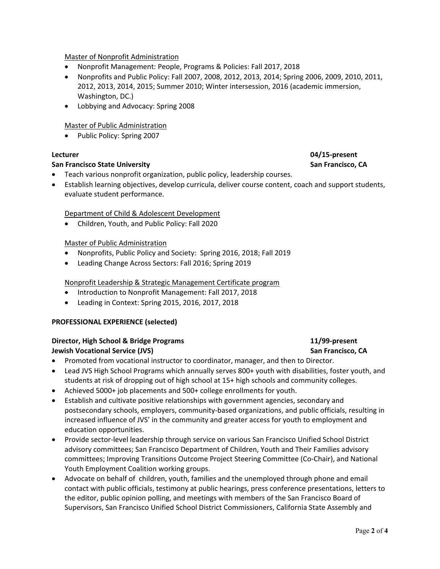### Master of Nonprofit Administration

- Nonprofit Management: People, Programs & Policies: Fall 2017, 2018
- Nonprofits and Public Policy: Fall 2007, 2008, 2012, 2013, 2014; Spring 2006, 2009, 2010, 2011, 2012, 2013, 2014, 2015; Summer 2010; Winter intersession, 2016 (academic immersion, Washington, DC.)
- Lobbying and Advocacy: Spring 2008

### Master of Public Administration

• Public Policy: Spring 2007

### **San Francisco State University San Francisco, CA**

- Teach various nonprofit organization, public policy, leadership courses.
- Establish learning objectives, develop curricula, deliver course content, coach and support students, evaluate student performance.

### Department of Child & Adolescent Development

• Children, Youth, and Public Policy: Fall 2020

### Master of Public Administration

- Nonprofits, Public Policy and Society: Spring 2016, 2018; Fall 2019
- Leading Change Across Sectors: Fall 2016; Spring 2019

### Nonprofit Leadership & Strategic Management Certificate program

- Introduction to Nonprofit Management: Fall 2017, 2018
- Leading in Context: Spring 2015, 2016, 2017, 2018

### **PROFESSIONAL EXPERIENCE (selected)**

### **Director, High School & Bridge Programs 11/99-present Jewish Vocational Service (JVS)** San Francisco, CA

- Promoted from vocational instructor to coordinator, manager, and then to Director.
- Lead JVS High School Programs which annually serves 800+ youth with disabilities, foster youth, and students at risk of dropping out of high school at 15+ high schools and community colleges.
- Achieved 5000+ job placements and 500+ college enrollments for youth.
- Establish and cultivate positive relationships with government agencies, secondary and postsecondary schools, employers, community-based organizations, and public officials, resulting in increased influence of JVS' in the community and greater access for youth to employment and education opportunities.
- Provide sector-level leadership through service on various San Francisco Unified School District advisory committees; San Francisco Department of Children, Youth and Their Families advisory committees; Improving Transitions Outcome Project Steering Committee (Co-Chair), and National Youth Employment Coalition working groups.
- Advocate on behalf of children, youth, families and the unemployed through phone and email contact with public officials, testimony at public hearings, press conference presentations, letters to the editor, public opinion polling, and meetings with members of the San Francisco Board of Supervisors, San Francisco Unified School District Commissioners, California State Assembly and

# **Lecturer 04/15-present**

### Page **2** of **4**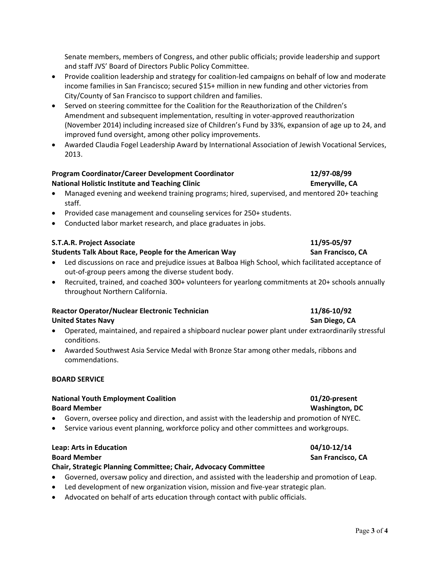Senate members, members of Congress, and other public officials; provide leadership and support and staff JVS' Board of Directors Public Policy Committee.

- Provide coalition leadership and strategy for coalition-led campaigns on behalf of low and moderate income families in San Francisco; secured \$15+ million in new funding and other victories from City/County of San Francisco to support children and families.
- Served on steering committee for the Coalition for the Reauthorization of the Children's Amendment and subsequent implementation, resulting in voter-approved reauthorization (November 2014) including increased size of Children's Fund by 33%, expansion of age up to 24, and improved fund oversight, among other policy improvements.
- Awarded Claudia Fogel Leadership Award by International Association of Jewish Vocational Services, 2013.

### **Program Coordinator/Career Development Coordinator 12/97-08/99 National Holistic Institute and Teaching Clinic Emeryville, CA**

- Managed evening and weekend training programs; hired, supervised, and mentored 20+ teaching staff.
- Provided case management and counseling services for 250+ students.
- Conducted labor market research, and place graduates in jobs.

### **S.T.A.R. Project Associate 11/95-05/97**

### **Students Talk About Race, People for the American Way San San Francisco, CA**

- Led discussions on race and prejudice issues at Balboa High School, which facilitated acceptance of out-of-group peers among the diverse student body.
- Recruited, trained, and coached 300+ volunteers for yearlong commitments at 20+ schools annually throughout Northern California.

### **Reactor Operator/Nuclear Electronic Technician 11/86-10/92 United States Navy San Diego, CA**

- Operated, maintained, and repaired a shipboard nuclear power plant under extraordinarily stressful conditions.
- Awarded Southwest Asia Service Medal with Bronze Star among other medals, ribbons and commendations.

### **BOARD SERVICE**

### **National Youth Employment Coalition 01/20-present Board Member Washington, DC**

- Govern, oversee policy and direction, and assist with the leadership and promotion of NYEC.
- Service various event planning, workforce policy and other committees and workgroups.

### **Leap: Arts in Education 04/10-12/14**

### **Board Member San Francisco, CA**

### **Chair, Strategic Planning Committee; Chair, Advocacy Committee**

- Governed, oversaw policy and direction, and assisted with the leadership and promotion of Leap.
- Led development of new organization vision, mission and five-year strategic plan.
- Advocated on behalf of arts education through contact with public officials.